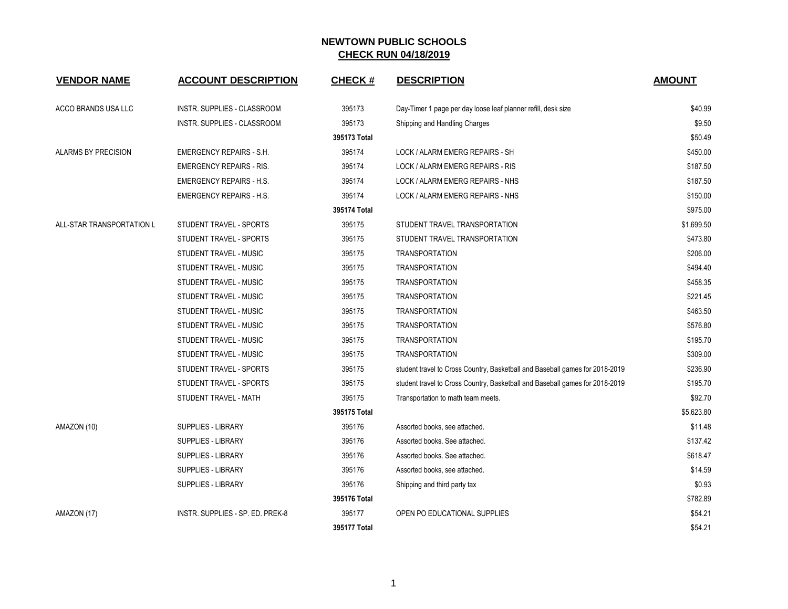| <b>VENDOR NAME</b>        | <b>ACCOUNT DESCRIPTION</b>       | <b>CHECK#</b> | <b>DESCRIPTION</b>                                                           | <b>AMOUNT</b> |
|---------------------------|----------------------------------|---------------|------------------------------------------------------------------------------|---------------|
| ACCO BRANDS USA LLC       | INSTR. SUPPLIES - CLASSROOM      | 395173        | Day-Timer 1 page per day loose leaf planner refill, desk size                | \$40.99       |
|                           | INSTR. SUPPLIES - CLASSROOM      | 395173        | Shipping and Handling Charges                                                | \$9.50        |
|                           |                                  | 395173 Total  |                                                                              | \$50.49       |
| ALARMS BY PRECISION       | <b>EMERGENCY REPAIRS - S.H.</b>  | 395174        | LOCK / ALARM EMERG REPAIRS - SH                                              | \$450.00      |
|                           | <b>EMERGENCY REPAIRS - RIS.</b>  | 395174        | LOCK / ALARM EMERG REPAIRS - RIS                                             | \$187.50      |
|                           | <b>EMERGENCY REPAIRS - H.S.</b>  | 395174        | LOCK / ALARM EMERG REPAIRS - NHS                                             | \$187.50      |
|                           | <b>EMERGENCY REPAIRS - H.S.</b>  | 395174        | LOCK / ALARM EMERG REPAIRS - NHS                                             | \$150.00      |
|                           |                                  | 395174 Total  |                                                                              | \$975.00      |
| ALL-STAR TRANSPORTATION L | <b>STUDENT TRAVEL - SPORTS</b>   | 395175        | STUDENT TRAVEL TRANSPORTATION                                                | \$1,699.50    |
|                           | STUDENT TRAVEL - SPORTS          | 395175        | STUDENT TRAVEL TRANSPORTATION                                                | \$473.80      |
|                           | STUDENT TRAVEL - MUSIC           | 395175        | <b>TRANSPORTATION</b>                                                        | \$206.00      |
|                           | STUDENT TRAVEL - MUSIC           | 395175        | <b>TRANSPORTATION</b>                                                        | \$494.40      |
|                           | STUDENT TRAVEL - MUSIC           | 395175        | <b>TRANSPORTATION</b>                                                        | \$458.35      |
|                           | STUDENT TRAVEL - MUSIC           | 395175        | <b>TRANSPORTATION</b>                                                        | \$221.45      |
|                           | STUDENT TRAVEL - MUSIC           | 395175        | <b>TRANSPORTATION</b>                                                        | \$463.50      |
|                           | STUDENT TRAVEL - MUSIC           | 395175        | <b>TRANSPORTATION</b>                                                        | \$576.80      |
|                           | STUDENT TRAVEL - MUSIC           | 395175        | <b>TRANSPORTATION</b>                                                        | \$195.70      |
|                           | STUDENT TRAVEL - MUSIC           | 395175        | <b>TRANSPORTATION</b>                                                        | \$309.00      |
|                           | STUDENT TRAVEL - SPORTS          | 395175        | student travel to Cross Country, Basketball and Baseball games for 2018-2019 | \$236.90      |
|                           | STUDENT TRAVEL - SPORTS          | 395175        | student travel to Cross Country, Basketball and Baseball games for 2018-2019 | \$195.70      |
|                           | STUDENT TRAVEL - MATH            | 395175        | Transportation to math team meets.                                           | \$92.70       |
|                           |                                  | 395175 Total  |                                                                              | \$5,623.80    |
| AMAZON (10)               | <b>SUPPLIES - LIBRARY</b>        | 395176        | Assorted books, see attached.                                                | \$11.48       |
|                           | SUPPLIES - LIBRARY               | 395176        | Assorted books. See attached.                                                | \$137.42      |
|                           | <b>SUPPLIES - LIBRARY</b>        | 395176        | Assorted books. See attached.                                                | \$618.47      |
|                           | <b>SUPPLIES - LIBRARY</b>        | 395176        | Assorted books, see attached.                                                | \$14.59       |
|                           | <b>SUPPLIES - LIBRARY</b>        | 395176        | Shipping and third party tax                                                 | \$0.93        |
|                           |                                  | 395176 Total  |                                                                              | \$782.89      |
| AMAZON (17)               | INSTR. SUPPLIES - SP. ED. PREK-8 | 395177        | OPEN PO EDUCATIONAL SUPPLIES                                                 | \$54.21       |
|                           |                                  | 395177 Total  |                                                                              | \$54.21       |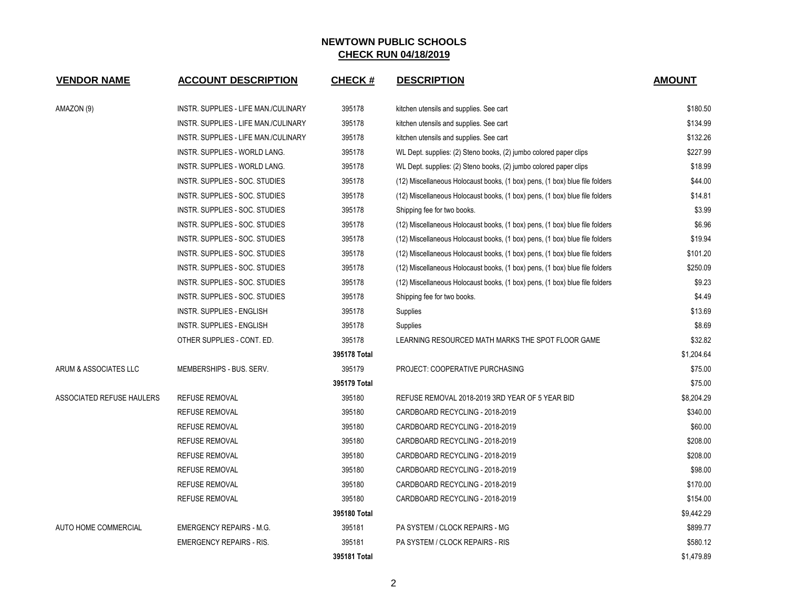| <b>VENDOR NAME</b>        | <b>ACCOUNT DESCRIPTION</b>           | <b>CHECK#</b> | <b>DESCRIPTION</b>                                                          | <b>AMOUNT</b> |
|---------------------------|--------------------------------------|---------------|-----------------------------------------------------------------------------|---------------|
| AMAZON (9)                | INSTR. SUPPLIES - LIFE MAN./CULINARY | 395178        | kitchen utensils and supplies. See cart                                     | \$180.50      |
|                           | INSTR. SUPPLIES - LIFE MAN./CULINARY | 395178        | kitchen utensils and supplies. See cart                                     | \$134.99      |
|                           | INSTR. SUPPLIES - LIFE MAN./CULINARY | 395178        | kitchen utensils and supplies. See cart                                     | \$132.26      |
|                           | INSTR. SUPPLIES - WORLD LANG.        | 395178        | WL Dept. supplies: (2) Steno books, (2) jumbo colored paper clips           | \$227.99      |
|                           | INSTR. SUPPLIES - WORLD LANG.        | 395178        | WL Dept. supplies: (2) Steno books, (2) jumbo colored paper clips           | \$18.99       |
|                           | INSTR. SUPPLIES - SOC. STUDIES       | 395178        | (12) Miscellaneous Holocaust books, (1 box) pens, (1 box) blue file folders | \$44.00       |
|                           | INSTR. SUPPLIES - SOC. STUDIES       | 395178        | (12) Miscellaneous Holocaust books, (1 box) pens, (1 box) blue file folders | \$14.81       |
|                           | INSTR. SUPPLIES - SOC. STUDIES       | 395178        | Shipping fee for two books.                                                 | \$3.99        |
|                           | INSTR. SUPPLIES - SOC. STUDIES       | 395178        | (12) Miscellaneous Holocaust books, (1 box) pens, (1 box) blue file folders | \$6.96        |
|                           | INSTR. SUPPLIES - SOC. STUDIES       | 395178        | (12) Miscellaneous Holocaust books, (1 box) pens, (1 box) blue file folders | \$19.94       |
|                           | INSTR. SUPPLIES - SOC. STUDIES       | 395178        | (12) Miscellaneous Holocaust books, (1 box) pens, (1 box) blue file folders | \$101.20      |
|                           | INSTR. SUPPLIES - SOC. STUDIES       | 395178        | (12) Miscellaneous Holocaust books, (1 box) pens, (1 box) blue file folders | \$250.09      |
|                           | INSTR. SUPPLIES - SOC. STUDIES       | 395178        | (12) Miscellaneous Holocaust books, (1 box) pens, (1 box) blue file folders | \$9.23        |
|                           | INSTR. SUPPLIES - SOC. STUDIES       | 395178        | Shipping fee for two books.                                                 | \$4.49        |
|                           | INSTR. SUPPLIES - ENGLISH            | 395178        | Supplies                                                                    | \$13.69       |
|                           | INSTR. SUPPLIES - ENGLISH            | 395178        | Supplies                                                                    | \$8.69        |
|                           | OTHER SUPPLIES - CONT. ED.           | 395178        | LEARNING RESOURCED MATH MARKS THE SPOT FLOOR GAME                           | \$32.82       |
|                           |                                      | 395178 Total  |                                                                             | \$1,204.64    |
| ARUM & ASSOCIATES LLC     | MEMBERSHIPS - BUS. SERV.             | 395179        | PROJECT: COOPERATIVE PURCHASING                                             | \$75.00       |
|                           |                                      | 395179 Total  |                                                                             | \$75.00       |
| ASSOCIATED REFUSE HAULERS | <b>REFUSE REMOVAL</b>                | 395180        | REFUSE REMOVAL 2018-2019 3RD YEAR OF 5 YEAR BID                             | \$8,204.29    |
|                           | <b>REFUSE REMOVAL</b>                | 395180        | CARDBOARD RECYCLING - 2018-2019                                             | \$340.00      |
|                           | <b>REFUSE REMOVAL</b>                | 395180        | CARDBOARD RECYCLING - 2018-2019                                             | \$60.00       |
|                           | <b>REFUSE REMOVAL</b>                | 395180        | CARDBOARD RECYCLING - 2018-2019                                             | \$208.00      |
|                           | <b>REFUSE REMOVAL</b>                | 395180        | CARDBOARD RECYCLING - 2018-2019                                             | \$208.00      |
|                           | <b>REFUSE REMOVAL</b>                | 395180        | CARDBOARD RECYCLING - 2018-2019                                             | \$98.00       |
|                           | <b>REFUSE REMOVAL</b>                | 395180        | CARDBOARD RECYCLING - 2018-2019                                             | \$170.00      |
|                           | <b>REFUSE REMOVAL</b>                | 395180        | CARDBOARD RECYCLING - 2018-2019                                             |               |
|                           |                                      | 395180 Total  |                                                                             | \$9,442.29    |
| AUTO HOME COMMERCIAL      | <b>EMERGENCY REPAIRS - M.G.</b>      | 395181        | PA SYSTEM / CLOCK REPAIRS - MG                                              | \$899.77      |
|                           | <b>EMERGENCY REPAIRS - RIS.</b>      | 395181        | PA SYSTEM / CLOCK REPAIRS - RIS                                             | \$580.12      |
|                           |                                      | 395181 Total  |                                                                             | \$1,479.89    |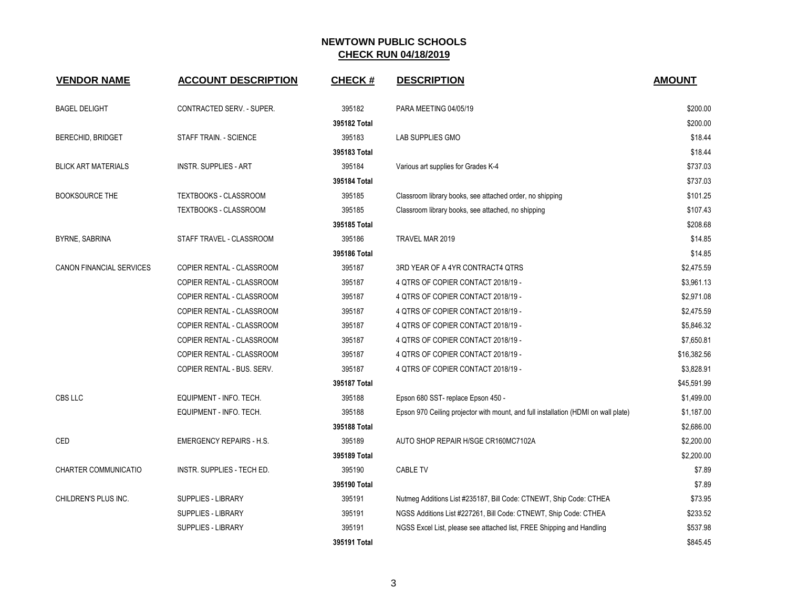| <b>VENDOR NAME</b>              | <b>ACCOUNT DESCRIPTION</b>      | <b>CHECK#</b> | <b>DESCRIPTION</b>                                                                 | <b>AMOUNT</b> |
|---------------------------------|---------------------------------|---------------|------------------------------------------------------------------------------------|---------------|
| <b>BAGEL DELIGHT</b>            | CONTRACTED SERV. - SUPER.       | 395182        | PARA MEETING 04/05/19                                                              | \$200.00      |
|                                 |                                 | 395182 Total  |                                                                                    | \$200.00      |
| BERECHID, BRIDGET               | STAFF TRAIN. - SCIENCE          | 395183        | LAB SUPPLIES GMO                                                                   | \$18.44       |
|                                 |                                 | 395183 Total  |                                                                                    | \$18.44       |
| <b>BLICK ART MATERIALS</b>      | <b>INSTR. SUPPLIES - ART</b>    | 395184        | Various art supplies for Grades K-4                                                | \$737.03      |
|                                 |                                 | 395184 Total  |                                                                                    | \$737.03      |
| <b>BOOKSOURCE THE</b>           | <b>TEXTBOOKS - CLASSROOM</b>    | 395185        | Classroom library books, see attached order, no shipping                           | \$101.25      |
|                                 | <b>TEXTBOOKS - CLASSROOM</b>    | 395185        | Classroom library books, see attached, no shipping                                 | \$107.43      |
|                                 |                                 | 395185 Total  |                                                                                    | \$208.68      |
| <b>BYRNE, SABRINA</b>           | STAFF TRAVEL - CLASSROOM        | 395186        | TRAVEL MAR 2019                                                                    | \$14.85       |
|                                 |                                 | 395186 Total  |                                                                                    | \$14.85       |
| <b>CANON FINANCIAL SERVICES</b> | COPIER RENTAL - CLASSROOM       | 395187        | 3RD YEAR OF A 4YR CONTRACT4 QTRS                                                   | \$2,475.59    |
|                                 | COPIER RENTAL - CLASSROOM       | 395187        | 4 QTRS OF COPIER CONTACT 2018/19 -                                                 | \$3,961.13    |
|                                 | COPIER RENTAL - CLASSROOM       | 395187        | 4 QTRS OF COPIER CONTACT 2018/19 -                                                 | \$2,971.08    |
|                                 | COPIER RENTAL - CLASSROOM       | 395187        | 4 QTRS OF COPIER CONTACT 2018/19 -                                                 | \$2,475.59    |
|                                 | COPIER RENTAL - CLASSROOM       | 395187        | 4 QTRS OF COPIER CONTACT 2018/19 -                                                 | \$5,846.32    |
|                                 | COPIER RENTAL - CLASSROOM       | 395187        | 4 QTRS OF COPIER CONTACT 2018/19 -                                                 | \$7,650.81    |
|                                 | COPIER RENTAL - CLASSROOM       | 395187        | 4 QTRS OF COPIER CONTACT 2018/19 -                                                 | \$16,382.56   |
|                                 | COPIER RENTAL - BUS. SERV.      | 395187        | 4 QTRS OF COPIER CONTACT 2018/19 -                                                 | \$3,828.91    |
|                                 |                                 | 395187 Total  |                                                                                    | \$45,591.99   |
| CBS LLC                         | EQUIPMENT - INFO. TECH.         | 395188        | Epson 680 SST- replace Epson 450 -                                                 | \$1,499.00    |
|                                 | EQUIPMENT - INFO. TECH.         | 395188        | Epson 970 Ceiling projector with mount, and full installation (HDMI on wall plate) | \$1,187.00    |
|                                 |                                 | 395188 Total  |                                                                                    | \$2,686.00    |
| CED                             | <b>EMERGENCY REPAIRS - H.S.</b> | 395189        | AUTO SHOP REPAIR H/SGE CR160MC7102A                                                | \$2,200.00    |
|                                 |                                 | 395189 Total  |                                                                                    | \$2,200.00    |
| CHARTER COMMUNICATIO            | INSTR. SUPPLIES - TECH ED.      | 395190        | <b>CABLE TV</b>                                                                    | \$7.89        |
|                                 |                                 | 395190 Total  |                                                                                    | \$7.89        |
| CHILDREN'S PLUS INC.            | <b>SUPPLIES - LIBRARY</b>       | 395191        | Nutmeg Additions List #235187, Bill Code: CTNEWT, Ship Code: CTHEA                 | \$73.95       |
|                                 | <b>SUPPLIES - LIBRARY</b>       | 395191        | NGSS Additions List #227261, Bill Code: CTNEWT, Ship Code: CTHEA                   | \$233.52      |
|                                 | SUPPLIES - LIBRARY              | 395191        | NGSS Excel List, please see attached list, FREE Shipping and Handling              | \$537.98      |
|                                 |                                 | 395191 Total  |                                                                                    | \$845.45      |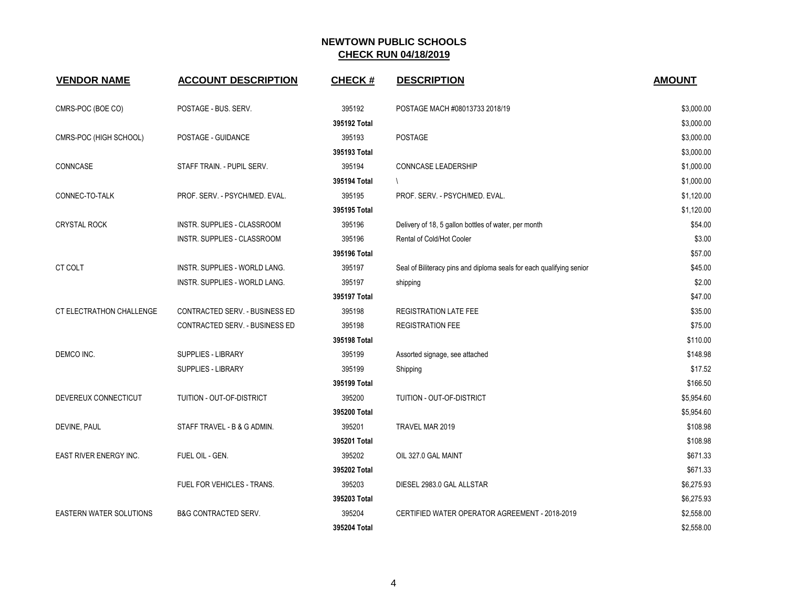| <b>VENDOR NAME</b>              | <b>ACCOUNT DESCRIPTION</b>            | <b>CHECK#</b> | <b>DESCRIPTION</b>                                                   | <b>AMOUNT</b> |
|---------------------------------|---------------------------------------|---------------|----------------------------------------------------------------------|---------------|
| CMRS-POC (BOE CO)               | POSTAGE - BUS. SERV.                  | 395192        | POSTAGE MACH #08013733 2018/19                                       | \$3,000.00    |
|                                 |                                       | 395192 Total  |                                                                      | \$3,000.00    |
| CMRS-POC (HIGH SCHOOL)          | POSTAGE - GUIDANCE                    | 395193        | <b>POSTAGE</b>                                                       | \$3,000.00    |
|                                 |                                       | 395193 Total  |                                                                      | \$3,000.00    |
| CONNCASE                        | STAFF TRAIN. - PUPIL SERV.            | 395194        | <b>CONNCASE LEADERSHIP</b>                                           | \$1,000.00    |
|                                 |                                       | 395194 Total  |                                                                      | \$1,000.00    |
| CONNEC-TO-TALK                  | PROF. SERV. - PSYCH/MED. EVAL.        | 395195        | PROF. SERV. - PSYCH/MED. EVAL.                                       | \$1,120.00    |
|                                 |                                       | 395195 Total  |                                                                      | \$1,120.00    |
| <b>CRYSTAL ROCK</b>             | INSTR. SUPPLIES - CLASSROOM           | 395196        | Delivery of 18, 5 gallon bottles of water, per month                 | \$54.00       |
|                                 | INSTR. SUPPLIES - CLASSROOM           | 395196        | Rental of Cold/Hot Cooler                                            | \$3.00        |
|                                 |                                       | 395196 Total  |                                                                      | \$57.00       |
| CT COLT                         | INSTR. SUPPLIES - WORLD LANG.         | 395197        | Seal of Biliteracy pins and diploma seals for each qualifying senior | \$45.00       |
|                                 | INSTR. SUPPLIES - WORLD LANG.         | 395197        | shipping                                                             | \$2.00        |
|                                 |                                       | 395197 Total  |                                                                      | \$47.00       |
| <b>CT ELECTRATHON CHALLENGE</b> | <b>CONTRACTED SERV. - BUSINESS ED</b> | 395198        | <b>REGISTRATION LATE FEE</b>                                         | \$35.00       |
|                                 | CONTRACTED SERV. - BUSINESS ED        | 395198        | <b>REGISTRATION FEE</b>                                              | \$75.00       |
|                                 |                                       | 395198 Total  |                                                                      | \$110.00      |
| DEMCO INC.                      | SUPPLIES - LIBRARY                    | 395199        | Assorted signage, see attached                                       | \$148.98      |
|                                 | SUPPLIES - LIBRARY                    | 395199        | Shipping                                                             | \$17.52       |
|                                 |                                       | 395199 Total  |                                                                      | \$166.50      |
| DEVEREUX CONNECTICUT            | TUITION - OUT-OF-DISTRICT             | 395200        | TUITION - OUT-OF-DISTRICT                                            | \$5,954.60    |
|                                 |                                       | 395200 Total  |                                                                      | \$5,954.60    |
| DEVINE, PAUL                    | STAFF TRAVEL - B & G ADMIN.           | 395201        | TRAVEL MAR 2019                                                      | \$108.98      |
|                                 |                                       | 395201 Total  |                                                                      | \$108.98      |
| EAST RIVER ENERGY INC.          | FUEL OIL - GEN.                       | 395202        | OIL 327.0 GAL MAINT                                                  | \$671.33      |
|                                 |                                       | 395202 Total  |                                                                      | \$671.33      |
|                                 | FUEL FOR VEHICLES - TRANS.            | 395203        | DIESEL 2983.0 GAL ALLSTAR                                            | \$6,275.93    |
|                                 |                                       | 395203 Total  |                                                                      | \$6,275.93    |
| <b>EASTERN WATER SOLUTIONS</b>  | <b>B&amp;G CONTRACTED SERV.</b>       | 395204        | CERTIFIED WATER OPERATOR AGREEMENT - 2018-2019                       | \$2,558.00    |
|                                 |                                       | 395204 Total  |                                                                      | \$2,558.00    |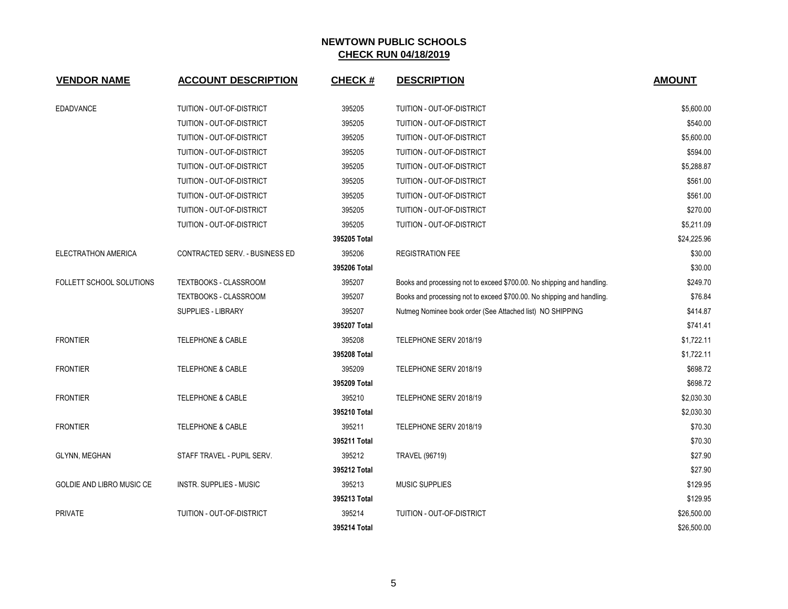| <b>VENDOR NAME</b>        | <b>ACCOUNT DESCRIPTION</b>     | <b>CHECK#</b> | <b>DESCRIPTION</b>                                                     | <b>AMOUNT</b> |
|---------------------------|--------------------------------|---------------|------------------------------------------------------------------------|---------------|
| <b>EDADVANCE</b>          | TUITION - OUT-OF-DISTRICT      | 395205        | TUITION - OUT-OF-DISTRICT                                              | \$5,600.00    |
|                           | TUITION - OUT-OF-DISTRICT      | 395205        | TUITION - OUT-OF-DISTRICT                                              | \$540.00      |
|                           | TUITION - OUT-OF-DISTRICT      | 395205        | TUITION - OUT-OF-DISTRICT                                              | \$5,600.00    |
|                           | TUITION - OUT-OF-DISTRICT      | 395205        | TUITION - OUT-OF-DISTRICT                                              | \$594.00      |
|                           | TUITION - OUT-OF-DISTRICT      | 395205        | TUITION - OUT-OF-DISTRICT                                              | \$5,288.87    |
|                           | TUITION - OUT-OF-DISTRICT      | 395205        | TUITION - OUT-OF-DISTRICT                                              | \$561.00      |
|                           | TUITION - OUT-OF-DISTRICT      | 395205        | TUITION - OUT-OF-DISTRICT                                              | \$561.00      |
|                           | TUITION - OUT-OF-DISTRICT      | 395205        | TUITION - OUT-OF-DISTRICT                                              | \$270.00      |
|                           | TUITION - OUT-OF-DISTRICT      | 395205        | TUITION - OUT-OF-DISTRICT                                              | \$5,211.09    |
|                           |                                | 395205 Total  |                                                                        | \$24,225.96   |
|                           |                                | 395206        |                                                                        | \$30.00       |
| ELECTRATHON AMERICA       | CONTRACTED SERV. - BUSINESS ED | 395206 Total  | <b>REGISTRATION FEE</b>                                                | \$30.00       |
|                           |                                |               |                                                                        |               |
| FOLLETT SCHOOL SOLUTIONS  | TEXTBOOKS - CLASSROOM          | 395207        | Books and processing not to exceed \$700.00. No shipping and handling. | \$249.70      |
|                           | TEXTBOOKS - CLASSROOM          | 395207        | Books and processing not to exceed \$700.00. No shipping and handling. | \$76.84       |
|                           | <b>SUPPLIES - LIBRARY</b>      | 395207        | Nutmeg Nominee book order (See Attached list) NO SHIPPING              | \$414.87      |
|                           |                                | 395207 Total  |                                                                        | \$741.41      |
| <b>FRONTIER</b>           | <b>TELEPHONE &amp; CABLE</b>   | 395208        | TELEPHONE SERV 2018/19                                                 | \$1,722.11    |
|                           |                                | 395208 Total  |                                                                        | \$1,722.11    |
| <b>FRONTIER</b>           | TELEPHONE & CABLE              | 395209        | TELEPHONE SERV 2018/19                                                 | \$698.72      |
|                           |                                | 395209 Total  |                                                                        | \$698.72      |
| <b>FRONTIER</b>           | <b>TELEPHONE &amp; CABLE</b>   | 395210        | TELEPHONE SERV 2018/19                                                 | \$2,030.30    |
|                           |                                | 395210 Total  |                                                                        | \$2,030.30    |
| <b>FRONTIER</b>           | <b>TELEPHONE &amp; CABLE</b>   | 395211        | TELEPHONE SERV 2018/19                                                 | \$70.30       |
|                           |                                | 395211 Total  |                                                                        | \$70.30       |
| GLYNN, MEGHAN             | STAFF TRAVEL - PUPIL SERV.     | 395212        | <b>TRAVEL (96719)</b>                                                  | \$27.90       |
|                           |                                | 395212 Total  |                                                                        | \$27.90       |
| GOLDIE AND LIBRO MUSIC CE | <b>INSTR. SUPPLIES - MUSIC</b> | 395213        | <b>MUSIC SUPPLIES</b>                                                  | \$129.95      |
|                           |                                | 395213 Total  |                                                                        | \$129.95      |
| <b>PRIVATE</b>            | TUITION - OUT-OF-DISTRICT      | 395214        | TUITION - OUT-OF-DISTRICT                                              | \$26,500.00   |
|                           |                                | 395214 Total  |                                                                        | \$26,500.00   |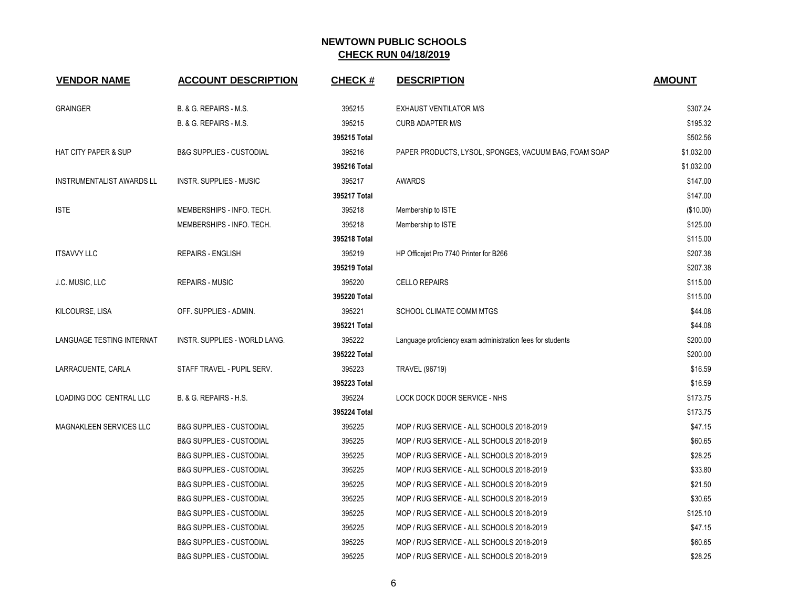| <b>VENDOR NAME</b>               | <b>ACCOUNT DESCRIPTION</b>          | <b>CHECK#</b> | <b>DESCRIPTION</b>                                         | <b>AMOUNT</b> |
|----------------------------------|-------------------------------------|---------------|------------------------------------------------------------|---------------|
| <b>GRAINGER</b>                  | B. & G. REPAIRS - M.S.              | 395215        | <b>EXHAUST VENTILATOR M/S</b>                              | \$307.24      |
|                                  | B. & G. REPAIRS - M.S.              | 395215        | <b>CURB ADAPTER M/S</b>                                    | \$195.32      |
|                                  |                                     | 395215 Total  |                                                            | \$502.56      |
| <b>HAT CITY PAPER &amp; SUP</b>  | <b>B&amp;G SUPPLIES - CUSTODIAL</b> | 395216        | PAPER PRODUCTS, LYSOL, SPONGES, VACUUM BAG, FOAM SOAP      | \$1,032.00    |
|                                  |                                     | 395216 Total  |                                                            | \$1,032.00    |
| <b>INSTRUMENTALIST AWARDS LL</b> | <b>INSTR. SUPPLIES - MUSIC</b>      | 395217        | <b>AWARDS</b>                                              | \$147.00      |
|                                  |                                     | 395217 Total  |                                                            | \$147.00      |
| <b>ISTE</b>                      | MEMBERSHIPS - INFO. TECH.           | 395218        | Membership to ISTE                                         | (\$10.00)     |
|                                  | MEMBERSHIPS - INFO. TECH.           | 395218        | Membership to ISTE                                         | \$125.00      |
|                                  |                                     | 395218 Total  |                                                            | \$115.00      |
| <b>ITSAVVY LLC</b>               | <b>REPAIRS - ENGLISH</b>            | 395219        | HP Officejet Pro 7740 Printer for B266                     | \$207.38      |
|                                  |                                     | 395219 Total  |                                                            | \$207.38      |
| J.C. MUSIC, LLC                  | <b>REPAIRS - MUSIC</b>              | 395220        | <b>CELLO REPAIRS</b>                                       | \$115.00      |
|                                  |                                     | 395220 Total  |                                                            | \$115.00      |
| KILCOURSE, LISA                  | OFF. SUPPLIES - ADMIN.              | 395221        | SCHOOL CLIMATE COMM MTGS                                   | \$44.08       |
|                                  |                                     | 395221 Total  |                                                            | \$44.08       |
| LANGUAGE TESTING INTERNAT        | INSTR. SUPPLIES - WORLD LANG.       | 395222        | Language proficiency exam administration fees for students | \$200.00      |
|                                  |                                     | 395222 Total  |                                                            | \$200.00      |
| LARRACUENTE, CARLA               | STAFF TRAVEL - PUPIL SERV.          | 395223        | <b>TRAVEL (96719)</b>                                      | \$16.59       |
|                                  |                                     | 395223 Total  |                                                            | \$16.59       |
| LOADING DOC CENTRAL LLC          | B. & G. REPAIRS - H.S.              | 395224        | LOCK DOCK DOOR SERVICE - NHS                               | \$173.75      |
|                                  |                                     | 395224 Total  |                                                            | \$173.75      |
| MAGNAKLEEN SERVICES LLC          | <b>B&amp;G SUPPLIES - CUSTODIAL</b> | 395225        | MOP / RUG SERVICE - ALL SCHOOLS 2018-2019                  | \$47.15       |
|                                  | <b>B&amp;G SUPPLIES - CUSTODIAL</b> | 395225        | MOP / RUG SERVICE - ALL SCHOOLS 2018-2019                  | \$60.65       |
|                                  | <b>B&amp;G SUPPLIES - CUSTODIAL</b> | 395225        | MOP / RUG SERVICE - ALL SCHOOLS 2018-2019                  | \$28.25       |
|                                  | <b>B&amp;G SUPPLIES - CUSTODIAL</b> | 395225        | MOP / RUG SERVICE - ALL SCHOOLS 2018-2019                  | \$33.80       |
|                                  | <b>B&amp;G SUPPLIES - CUSTODIAL</b> | 395225        | MOP / RUG SERVICE - ALL SCHOOLS 2018-2019                  | \$21.50       |
|                                  | <b>B&amp;G SUPPLIES - CUSTODIAL</b> | 395225        | MOP / RUG SERVICE - ALL SCHOOLS 2018-2019                  | \$30.65       |
|                                  | <b>B&amp;G SUPPLIES - CUSTODIAL</b> | 395225        | MOP / RUG SERVICE - ALL SCHOOLS 2018-2019                  | \$125.10      |
|                                  | <b>B&amp;G SUPPLIES - CUSTODIAL</b> | 395225        | MOP / RUG SERVICE - ALL SCHOOLS 2018-2019                  | \$47.15       |
|                                  | <b>B&amp;G SUPPLIES - CUSTODIAL</b> | 395225        | MOP / RUG SERVICE - ALL SCHOOLS 2018-2019                  | \$60.65       |
|                                  | <b>B&amp;G SUPPLIES - CUSTODIAL</b> | 395225        | MOP / RUG SERVICE - ALL SCHOOLS 2018-2019                  | \$28.25       |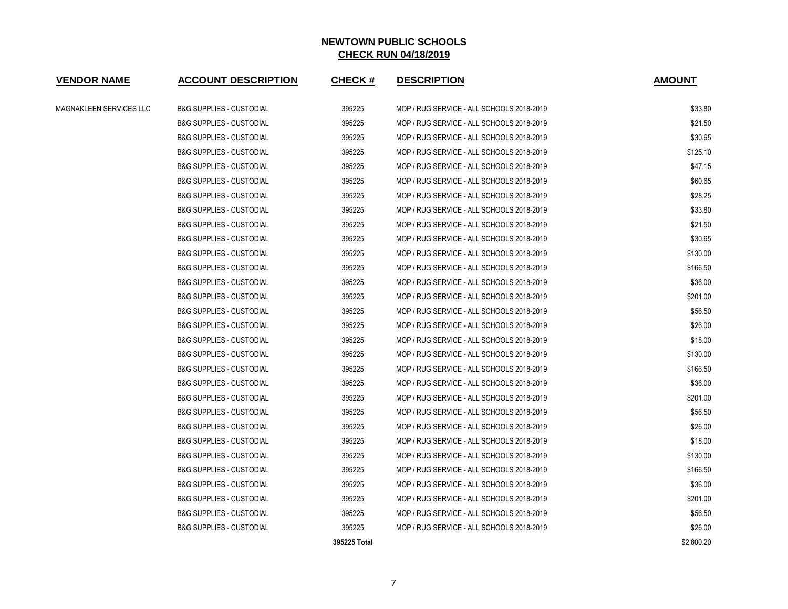| <b>VENDOR NAME</b>      | <b>ACCOUNT DESCRIPTION</b>          | <b>CHECK#</b> | <b>DESCRIPTION</b>                        | <b>AMOUNT</b> |
|-------------------------|-------------------------------------|---------------|-------------------------------------------|---------------|
| MAGNAKLEEN SERVICES LLC | <b>B&amp;G SUPPLIES - CUSTODIAL</b> | 395225        | MOP / RUG SERVICE - ALL SCHOOLS 2018-2019 | \$33.80       |
|                         | <b>B&amp;G SUPPLIES - CUSTODIAL</b> | 395225        | MOP / RUG SERVICE - ALL SCHOOLS 2018-2019 | \$21.50       |
|                         | <b>B&amp;G SUPPLIES - CUSTODIAL</b> | 395225        | MOP / RUG SERVICE - ALL SCHOOLS 2018-2019 | \$30.65       |
|                         | <b>B&amp;G SUPPLIES - CUSTODIAL</b> | 395225        | MOP / RUG SERVICE - ALL SCHOOLS 2018-2019 | \$125.10      |
|                         | <b>B&amp;G SUPPLIES - CUSTODIAL</b> | 395225        | MOP / RUG SERVICE - ALL SCHOOLS 2018-2019 | \$47.15       |
|                         | <b>B&amp;G SUPPLIES - CUSTODIAL</b> | 395225        | MOP / RUG SERVICE - ALL SCHOOLS 2018-2019 | \$60.65       |
|                         | <b>B&amp;G SUPPLIES - CUSTODIAL</b> | 395225        | MOP / RUG SERVICE - ALL SCHOOLS 2018-2019 | \$28.25       |
|                         | <b>B&amp;G SUPPLIES - CUSTODIAL</b> | 395225        | MOP / RUG SERVICE - ALL SCHOOLS 2018-2019 | \$33.80       |
|                         | <b>B&amp;G SUPPLIES - CUSTODIAL</b> | 395225        | MOP / RUG SERVICE - ALL SCHOOLS 2018-2019 | \$21.50       |
|                         | <b>B&amp;G SUPPLIES - CUSTODIAL</b> | 395225        | MOP / RUG SERVICE - ALL SCHOOLS 2018-2019 | \$30.65       |
|                         | <b>B&amp;G SUPPLIES - CUSTODIAL</b> | 395225        | MOP / RUG SERVICE - ALL SCHOOLS 2018-2019 | \$130.00      |
|                         | <b>B&amp;G SUPPLIES - CUSTODIAL</b> | 395225        | MOP / RUG SERVICE - ALL SCHOOLS 2018-2019 | \$166.50      |
|                         | <b>B&amp;G SUPPLIES - CUSTODIAL</b> | 395225        | MOP / RUG SERVICE - ALL SCHOOLS 2018-2019 | \$36.00       |
|                         | <b>B&amp;G SUPPLIES - CUSTODIAL</b> | 395225        | MOP / RUG SERVICE - ALL SCHOOLS 2018-2019 | \$201.00      |
|                         | <b>B&amp;G SUPPLIES - CUSTODIAL</b> | 395225        | MOP / RUG SERVICE - ALL SCHOOLS 2018-2019 | \$56.50       |
|                         | <b>B&amp;G SUPPLIES - CUSTODIAL</b> | 395225        | MOP / RUG SERVICE - ALL SCHOOLS 2018-2019 | \$26.00       |
|                         | <b>B&amp;G SUPPLIES - CUSTODIAL</b> | 395225        | MOP / RUG SERVICE - ALL SCHOOLS 2018-2019 | \$18.00       |
|                         | <b>B&amp;G SUPPLIES - CUSTODIAL</b> | 395225        | MOP / RUG SERVICE - ALL SCHOOLS 2018-2019 | \$130.00      |
|                         | <b>B&amp;G SUPPLIES - CUSTODIAL</b> | 395225        | MOP / RUG SERVICE - ALL SCHOOLS 2018-2019 | \$166.50      |
|                         | <b>B&amp;G SUPPLIES - CUSTODIAL</b> | 395225        | MOP / RUG SERVICE - ALL SCHOOLS 2018-2019 | \$36.00       |
|                         | <b>B&amp;G SUPPLIES - CUSTODIAL</b> | 395225        | MOP / RUG SERVICE - ALL SCHOOLS 2018-2019 | \$201.00      |
|                         | <b>B&amp;G SUPPLIES - CUSTODIAL</b> | 395225        | MOP / RUG SERVICE - ALL SCHOOLS 2018-2019 | \$56.50       |
|                         | <b>B&amp;G SUPPLIES - CUSTODIAL</b> | 395225        | MOP / RUG SERVICE - ALL SCHOOLS 2018-2019 | \$26.00       |
|                         | <b>B&amp;G SUPPLIES - CUSTODIAL</b> | 395225        | MOP / RUG SERVICE - ALL SCHOOLS 2018-2019 | \$18.00       |
|                         | <b>B&amp;G SUPPLIES - CUSTODIAL</b> | 395225        | MOP / RUG SERVICE - ALL SCHOOLS 2018-2019 | \$130.00      |
|                         | <b>B&amp;G SUPPLIES - CUSTODIAL</b> | 395225        | MOP / RUG SERVICE - ALL SCHOOLS 2018-2019 | \$166.50      |
|                         | <b>B&amp;G SUPPLIES - CUSTODIAL</b> | 395225        | MOP / RUG SERVICE - ALL SCHOOLS 2018-2019 | \$36.00       |
|                         | <b>B&amp;G SUPPLIES - CUSTODIAL</b> | 395225        | MOP / RUG SERVICE - ALL SCHOOLS 2018-2019 | \$201.00      |
|                         | <b>B&amp;G SUPPLIES - CUSTODIAL</b> | 395225        | MOP / RUG SERVICE - ALL SCHOOLS 2018-2019 | \$56.50       |
|                         | <b>B&amp;G SUPPLIES - CUSTODIAL</b> | 395225        | MOP / RUG SERVICE - ALL SCHOOLS 2018-2019 | \$26.00       |
|                         |                                     | 395225 Total  |                                           | \$2,800.20    |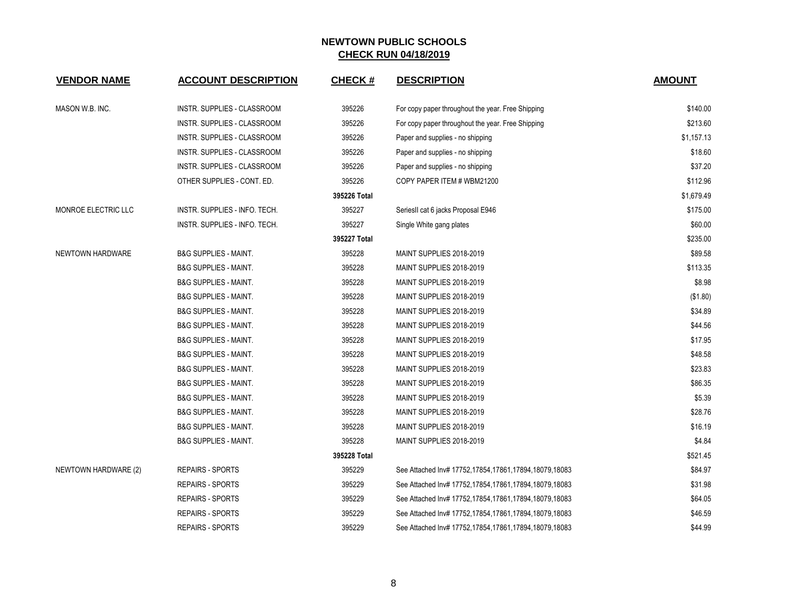| <b>VENDOR NAME</b>   | <b>ACCOUNT DESCRIPTION</b>       | <b>CHECK#</b> | <b>DESCRIPTION</b>                                    | <b>AMOUNT</b> |
|----------------------|----------------------------------|---------------|-------------------------------------------------------|---------------|
| MASON W.B. INC.      | INSTR. SUPPLIES - CLASSROOM      | 395226        | For copy paper throughout the year. Free Shipping     | \$140.00      |
|                      | INSTR. SUPPLIES - CLASSROOM      | 395226        | For copy paper throughout the year. Free Shipping     | \$213.60      |
|                      | INSTR. SUPPLIES - CLASSROOM      | 395226        | Paper and supplies - no shipping                      | \$1,157.13    |
|                      | INSTR. SUPPLIES - CLASSROOM      | 395226        | Paper and supplies - no shipping                      | \$18.60       |
|                      | INSTR. SUPPLIES - CLASSROOM      | 395226        | Paper and supplies - no shipping                      | \$37.20       |
|                      | OTHER SUPPLIES - CONT. ED.       | 395226        | COPY PAPER ITEM # WBM21200                            | \$112.96      |
|                      |                                  | 395226 Total  |                                                       | \$1,679.49    |
| MONROE ELECTRIC LLC  | INSTR. SUPPLIES - INFO. TECH.    | 395227        | SeriesII cat 6 jacks Proposal E946                    | \$175.00      |
|                      | INSTR. SUPPLIES - INFO. TECH.    | 395227        | Single White gang plates                              | \$60.00       |
|                      |                                  | 395227 Total  |                                                       | \$235.00      |
| NEWTOWN HARDWARE     | <b>B&amp;G SUPPLIES - MAINT.</b> | 395228        | MAINT SUPPLIES 2018-2019                              | \$89.58       |
|                      | <b>B&amp;G SUPPLIES - MAINT.</b> | 395228        | MAINT SUPPLIES 2018-2019                              | \$113.35      |
|                      | <b>B&amp;G SUPPLIES - MAINT.</b> | 395228        | MAINT SUPPLIES 2018-2019                              | \$8.98        |
|                      | <b>B&amp;G SUPPLIES - MAINT.</b> | 395228        | MAINT SUPPLIES 2018-2019                              | (\$1.80)      |
|                      | <b>B&amp;G SUPPLIES - MAINT.</b> | 395228        | MAINT SUPPLIES 2018-2019                              | \$34.89       |
|                      | <b>B&amp;G SUPPLIES - MAINT.</b> | 395228        | MAINT SUPPLIES 2018-2019                              | \$44.56       |
|                      | <b>B&amp;G SUPPLIES - MAINT.</b> | 395228        | MAINT SUPPLIES 2018-2019                              | \$17.95       |
|                      | <b>B&amp;G SUPPLIES - MAINT.</b> | 395228        | MAINT SUPPLIES 2018-2019                              | \$48.58       |
|                      | <b>B&amp;G SUPPLIES - MAINT.</b> | 395228        | MAINT SUPPLIES 2018-2019                              | \$23.83       |
|                      | <b>B&amp;G SUPPLIES - MAINT.</b> | 395228        | MAINT SUPPLIES 2018-2019                              | \$86.35       |
|                      | <b>B&amp;G SUPPLIES - MAINT.</b> | 395228        | MAINT SUPPLIES 2018-2019                              | \$5.39        |
|                      | <b>B&amp;G SUPPLIES - MAINT.</b> | 395228        | MAINT SUPPLIES 2018-2019                              | \$28.76       |
|                      | <b>B&amp;G SUPPLIES - MAINT.</b> | 395228        | MAINT SUPPLIES 2018-2019                              | \$16.19       |
|                      | <b>B&amp;G SUPPLIES - MAINT.</b> | 395228        | MAINT SUPPLIES 2018-2019                              | \$4.84        |
|                      |                                  | 395228 Total  |                                                       | \$521.45      |
| NEWTOWN HARDWARE (2) | <b>REPAIRS - SPORTS</b>          | 395229        | See Attached Inv# 17752,17854,17861,17894,18079,18083 | \$84.97       |
|                      | <b>REPAIRS - SPORTS</b>          | 395229        | See Attached Inv# 17752,17854,17861,17894,18079,18083 | \$31.98       |
|                      | <b>REPAIRS - SPORTS</b>          | 395229        | See Attached Inv# 17752,17854,17861,17894,18079,18083 | \$64.05       |
|                      | <b>REPAIRS - SPORTS</b>          | 395229        | See Attached Inv# 17752,17854,17861,17894,18079,18083 | \$46.59       |
|                      | <b>REPAIRS - SPORTS</b>          | 395229        | See Attached Inv# 17752,17854,17861,17894,18079,18083 | \$44.99       |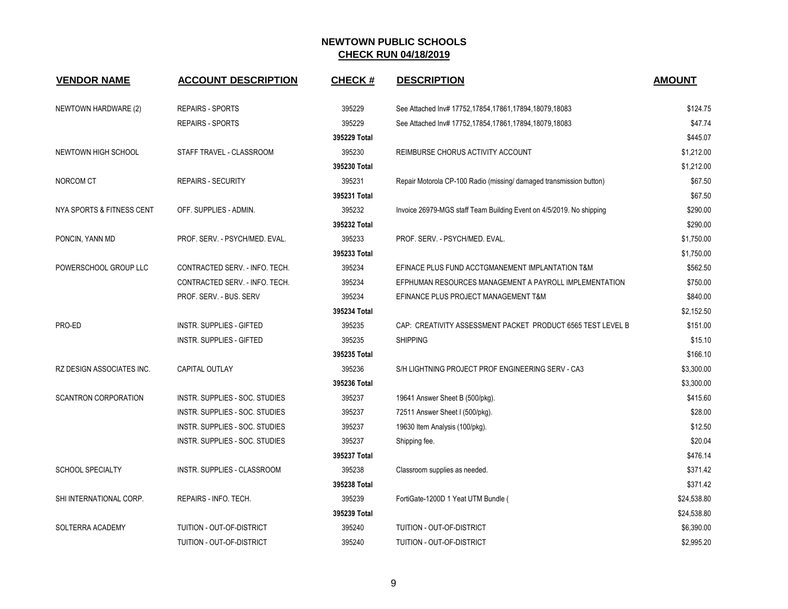| <b>VENDOR NAME</b>          | <b>ACCOUNT DESCRIPTION</b>       | <b>CHECK#</b> | <b>DESCRIPTION</b>                                                   | <b>AMOUNT</b> |
|-----------------------------|----------------------------------|---------------|----------------------------------------------------------------------|---------------|
| NEWTOWN HARDWARE (2)        | <b>REPAIRS - SPORTS</b>          | 395229        | See Attached Inv# 17752,17854,17861,17894,18079,18083                | \$124.75      |
|                             | <b>REPAIRS - SPORTS</b>          | 395229        | See Attached Inv# 17752,17854,17861,17894,18079,18083                | \$47.74       |
|                             |                                  | 395229 Total  |                                                                      | \$445.07      |
| NEWTOWN HIGH SCHOOL         | STAFF TRAVEL - CLASSROOM         | 395230        | REIMBURSE CHORUS ACTIVITY ACCOUNT                                    | \$1,212.00    |
|                             |                                  | 395230 Total  |                                                                      | \$1,212.00    |
| NORCOM CT                   | <b>REPAIRS - SECURITY</b>        | 395231        | Repair Motorola CP-100 Radio (missing/ damaged transmission button)  | \$67.50       |
|                             |                                  | 395231 Total  |                                                                      | \$67.50       |
| NYA SPORTS & FITNESS CENT   | OFF. SUPPLIES - ADMIN.           | 395232        | Invoice 26979-MGS staff Team Building Event on 4/5/2019. No shipping | \$290.00      |
|                             |                                  | 395232 Total  |                                                                      | \$290.00      |
| PONCIN, YANN MD             | PROF. SERV. - PSYCH/MED. EVAL.   | 395233        | PROF. SERV. - PSYCH/MED. EVAL.                                       | \$1,750.00    |
|                             |                                  | 395233 Total  |                                                                      | \$1,750.00    |
| POWERSCHOOL GROUP LLC       | CONTRACTED SERV. - INFO. TECH.   | 395234        | EFINACE PLUS FUND ACCTGMANEMENT IMPLANTATION T&M                     | \$562.50      |
|                             | CONTRACTED SERV. - INFO. TECH.   | 395234        | EFPHUMAN RESOURCES MANAGEMENT A PAYROLL IMPLEMENTATION               | \$750.00      |
|                             | PROF. SERV. - BUS. SERV          | 395234        | EFINANCE PLUS PROJECT MANAGEMENT T&M                                 | \$840.00      |
|                             |                                  | 395234 Total  |                                                                      | \$2,152.50    |
| PRO-ED                      | <b>INSTR. SUPPLIES - GIFTED</b>  | 395235        | CAP: CREATIVITY ASSESSMENT PACKET PRODUCT 6565 TEST LEVEL B          | \$151.00      |
|                             | <b>INSTR. SUPPLIES - GIFTED</b>  | 395235        | <b>SHIPPING</b>                                                      | \$15.10       |
|                             |                                  | 395235 Total  |                                                                      | \$166.10      |
| RZ DESIGN ASSOCIATES INC.   | <b>CAPITAL OUTLAY</b>            | 395236        | S/H LIGHTNING PROJECT PROF ENGINEERING SERV - CA3                    | \$3,300.00    |
|                             |                                  | 395236 Total  |                                                                      | \$3,300.00    |
| <b>SCANTRON CORPORATION</b> | INSTR. SUPPLIES - SOC. STUDIES   | 395237        | 19641 Answer Sheet B (500/pkg).                                      | \$415.60      |
|                             | INSTR. SUPPLIES - SOC. STUDIES   | 395237        | 72511 Answer Sheet I (500/pkg).                                      | \$28.00       |
|                             | INSTR. SUPPLIES - SOC. STUDIES   | 395237        | 19630 Item Analysis (100/pkg).                                       | \$12.50       |
|                             | INSTR. SUPPLIES - SOC. STUDIES   | 395237        | Shipping fee.                                                        | \$20.04       |
|                             |                                  | 395237 Total  |                                                                      | \$476.14      |
| <b>SCHOOL SPECIALTY</b>     | INSTR. SUPPLIES - CLASSROOM      | 395238        | Classroom supplies as needed.                                        | \$371.42      |
|                             |                                  | 395238 Total  |                                                                      | \$371.42      |
| SHI INTERNATIONAL CORP.     | REPAIRS - INFO. TECH.            | 395239        | FortiGate-1200D 1 Yeat UTM Bundle (                                  | \$24,538.80   |
|                             |                                  | 395239 Total  |                                                                      | \$24,538.80   |
| SOLTERRA ACADEMY            | TUITION - OUT-OF-DISTRICT        | 395240        | TUITION - OUT-OF-DISTRICT                                            | \$6,390.00    |
|                             | <b>TUITION - OUT-OF-DISTRICT</b> | 395240        | TUITION - OUT-OF-DISTRICT                                            | \$2,995.20    |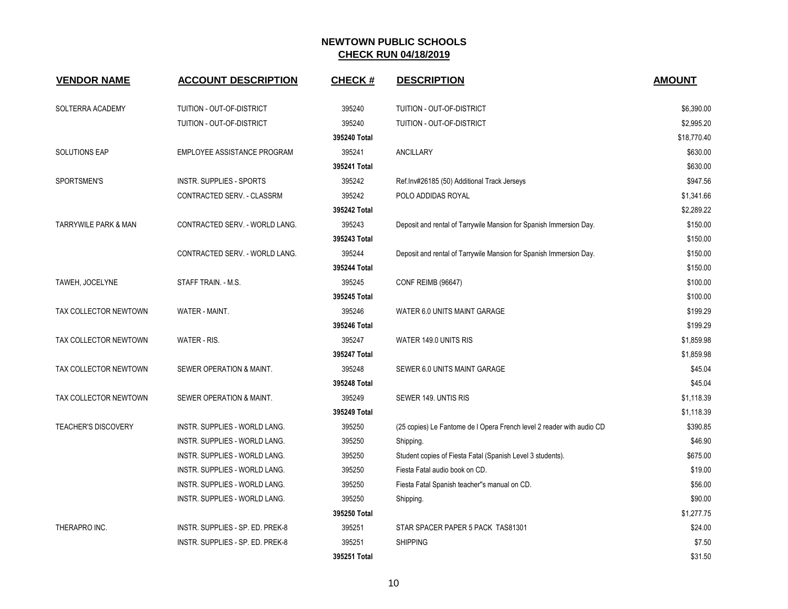| <b>VENDOR NAME</b>         | <b>ACCOUNT DESCRIPTION</b>           | <b>CHECK#</b> | <b>DESCRIPTION</b>                                                    | <b>AMOUNT</b> |
|----------------------------|--------------------------------------|---------------|-----------------------------------------------------------------------|---------------|
| SOLTERRA ACADEMY           | TUITION - OUT-OF-DISTRICT            | 395240        | TUITION - OUT-OF-DISTRICT                                             | \$6,390.00    |
|                            | TUITION - OUT-OF-DISTRICT            | 395240        | TUITION - OUT-OF-DISTRICT                                             | \$2,995.20    |
|                            |                                      | 395240 Total  |                                                                       | \$18,770.40   |
| <b>SOLUTIONS EAP</b>       | EMPLOYEE ASSISTANCE PROGRAM          | 395241        | ANCILLARY                                                             | \$630.00      |
|                            |                                      | 395241 Total  |                                                                       | \$630.00      |
| SPORTSMEN'S                | <b>INSTR. SUPPLIES - SPORTS</b>      | 395242        | Ref.Inv#26185 (50) Additional Track Jerseys                           | \$947.56      |
|                            | CONTRACTED SERV. - CLASSRM           | 395242        | POLO ADDIDAS ROYAL                                                    | \$1,341.66    |
|                            |                                      | 395242 Total  |                                                                       | \$2,289.22    |
| TARRYWILE PARK & MAN       | CONTRACTED SERV. - WORLD LANG.       | 395243        | Deposit and rental of Tarrywile Mansion for Spanish Immersion Day.    | \$150.00      |
|                            |                                      | 395243 Total  |                                                                       | \$150.00      |
|                            | CONTRACTED SERV. - WORLD LANG.       | 395244        | Deposit and rental of Tarrywile Mansion for Spanish Immersion Day.    | \$150.00      |
|                            |                                      | 395244 Total  |                                                                       | \$150.00      |
| TAWEH, JOCELYNE            | STAFF TRAIN. - M.S.                  | 395245        | <b>CONF REIMB (96647)</b>                                             | \$100.00      |
|                            |                                      | 395245 Total  |                                                                       | \$100.00      |
| TAX COLLECTOR NEWTOWN      | WATER - MAINT.                       | 395246        | WATER 6.0 UNITS MAINT GARAGE                                          | \$199.29      |
|                            |                                      | 395246 Total  |                                                                       | \$199.29      |
| TAX COLLECTOR NEWTOWN      | WATER - RIS.                         | 395247        | WATER 149.0 UNITS RIS                                                 | \$1,859.98    |
|                            |                                      | 395247 Total  |                                                                       | \$1,859.98    |
| TAX COLLECTOR NEWTOWN      | SEWER OPERATION & MAINT.             | 395248        | SEWER 6.0 UNITS MAINT GARAGE                                          | \$45.04       |
|                            |                                      | 395248 Total  |                                                                       | \$45.04       |
| TAX COLLECTOR NEWTOWN      | SEWER OPERATION & MAINT.             | 395249        | SEWER 149, UNTIS RIS                                                  | \$1,118.39    |
|                            |                                      | 395249 Total  |                                                                       | \$1,118.39    |
| <b>TEACHER'S DISCOVERY</b> | INSTR. SUPPLIES - WORLD LANG.        | 395250        | (25 copies) Le Fantome de I Opera French level 2 reader with audio CD | \$390.85      |
|                            | <b>INSTR. SUPPLIES - WORLD LANG.</b> | 395250        | Shipping.                                                             | \$46.90       |
|                            | INSTR. SUPPLIES - WORLD LANG.        | 395250        | Student copies of Fiesta Fatal (Spanish Level 3 students).            | \$675.00      |
|                            | INSTR. SUPPLIES - WORLD LANG.        | 395250        | Fiesta Fatal audio book on CD.                                        | \$19.00       |
|                            | INSTR. SUPPLIES - WORLD LANG.        | 395250        | Fiesta Fatal Spanish teacher"s manual on CD.                          | \$56.00       |
|                            | INSTR. SUPPLIES - WORLD LANG.        | 395250        | Shipping.                                                             | \$90.00       |
|                            |                                      | 395250 Total  |                                                                       | \$1.277.75    |
| THERAPRO INC.              | INSTR. SUPPLIES - SP. ED. PREK-8     | 395251        | STAR SPACER PAPER 5 PACK TAS81301                                     | \$24.00       |
|                            | INSTR. SUPPLIES - SP. ED. PREK-8     | 395251        | <b>SHIPPING</b>                                                       | \$7.50        |
|                            |                                      | 395251 Total  |                                                                       | \$31.50       |